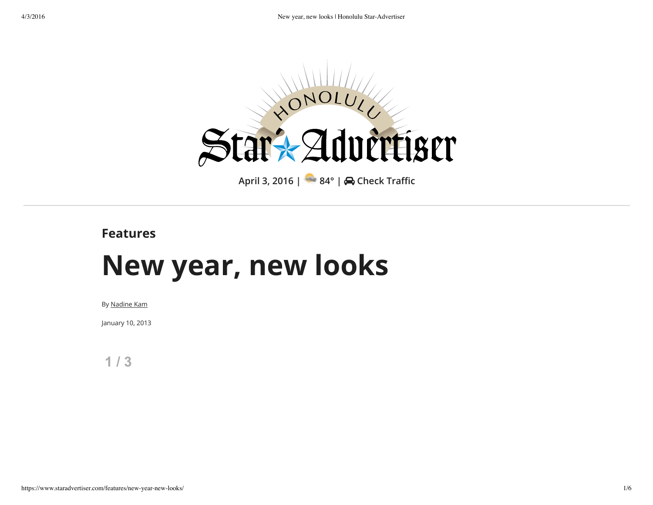

## **Features**

## **New year, new looks**

By Nadine Kam

January 10, 2013

**1 / 3**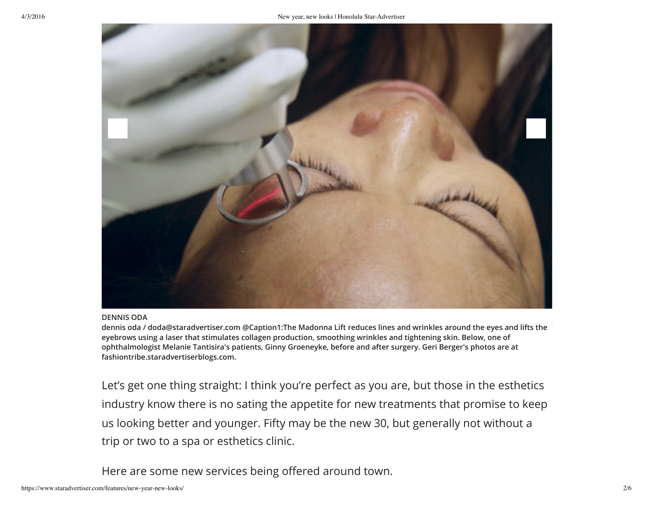

## **DENNIS ODA**

dennis oda / doda@staradvertiser.com @Caption1:The Madonna Lift reduces lines and wrinkles around the eyes and lifts the eyebrows using a laser that stimulates collagen production, smoothing wrinkles and tightening skin. Below, one of **ophthalmologist Melanie Tantisira's patients, Ginny Groeneyke, before and after surgery. Geri Berger's photos are at fashiontribe.staradvertiserblogs.com.**

Let's get one thing straight: I think you're perfect as you are, but those in the esthetics industry know there is no sating the appetite for new treatments that promise to keep us looking better and younger. Fifty may be the new 30, but generally not without a trip or two to a spa or esthetics clinic.

Here are some new services being offered around town.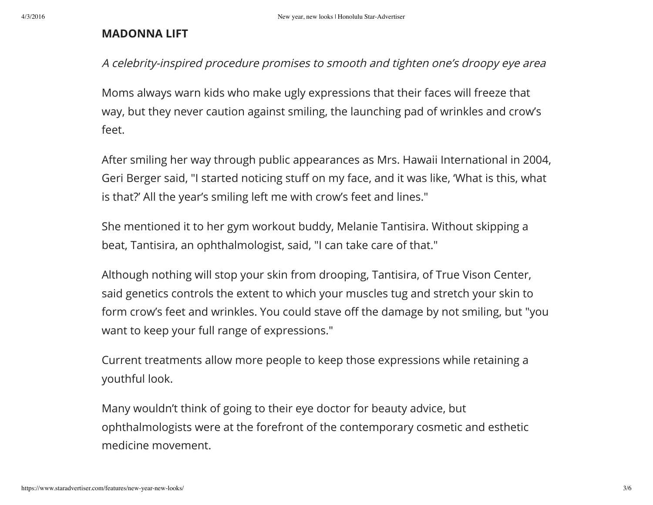## **MADONNA LIFT**

A celebrity-inspired procedure promises to smooth and tighten one's droopy eye area

Moms always warn kids who make ugly expressions that their faces will freeze that way, but they never caution against smiling, the launching pad of wrinkles and crow's feet.

After smiling her way through public appearances as Mrs. Hawaii International in 2004, Geri Berger said, "I started noticing stuff on my face, and it was like, 'What is this, what is that?' All the year's smiling left me with crow's feet and lines."

She mentioned it to her gym workout buddy, Melanie Tantisira. Without skipping a beat, Tantisira, an ophthalmologist, said, "I can take care of that."

Although nothing will stop your skin from drooping, Tantisira, of True Vison Center, said genetics controls the extent to which your muscles tug and stretch your skin to form crow's feet and wrinkles. You could stave off the damage by not smiling, but "you want to keep your full range of expressions."

Current treatments allow more people to keep those expressions while retaining a youthful look.

Many wouldn't think of going to their eye doctor for beauty advice, but ophthalmologists were at the forefront of the contemporary cosmetic and esthetic medicine movement.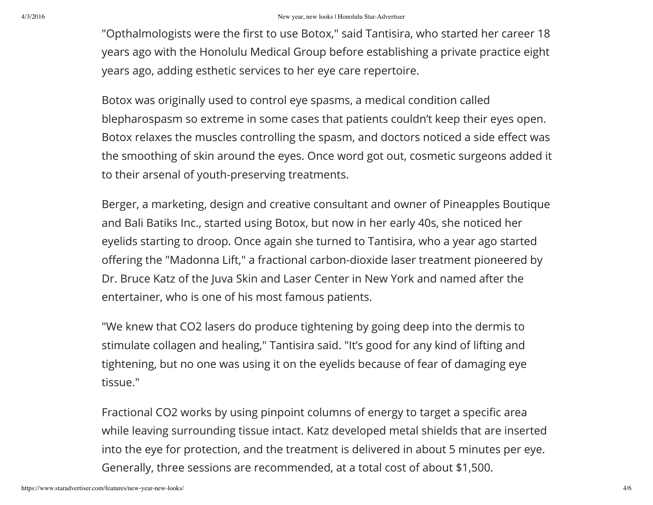"Opthalmologists were the first to use Botox," said Tantisira, who started her career 18 years ago with the Honolulu Medical Group before establishing a private practice eight years ago, adding esthetic services to her eye care repertoire.

Botox was originally used to control eye spasms, a medical condition called blepharospasm so extreme in some cases that patients couldn't keep their eyes open. Botox relaxes the muscles controlling the spasm, and doctors noticed a side effect was the smoothing of skin around the eyes. Once word got out, cosmetic surgeons added it to their arsenal of youth-preserving treatments.

Berger, a marketing, design and creative consultant and owner of Pineapples Boutique and Bali Batiks Inc., started using Botox, but now in her early 40s, she noticed her eyelids starting to droop. Once again she turned to Tantisira, who a year ago started offering the "Madonna Lift," a fractional carbon-dioxide laser treatment pioneered by Dr. Bruce Katz of the Juva Skin and Laser Center in New York and named after the entertainer, who is one of his most famous patients.

"We knew that CO2 lasers do produce tightening by going deep into the dermis to stimulate collagen and healing," Tantisira said. "It's good for any kind of lifting and tightening, but no one was using it on the eyelids because of fear of damaging eye tissue."

Fractional CO2 works by using pinpoint columns of energy to target a specific area while leaving surrounding tissue intact. Katz developed metal shields that are inserted into the eye for protection, and the treatment is delivered in about 5 minutes per eye. Generally, three sessions are recommended, at a total cost of about \$1,500.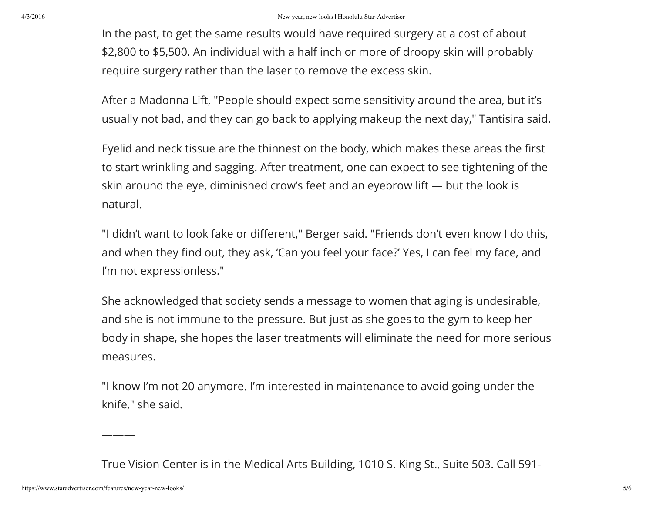In the past, to get the same results would have required surgery at a cost of about \$2,800 to \$5,500. An individual with a half inch or more of droopy skin will probably require surgery rather than the laser to remove the excess skin.

After a Madonna Lift, "People should expect some sensitivity around the area, but it's usually not bad, and they can go back to applying makeup the next day," Tantisira said.

Eyelid and neck tissue are the thinnest on the body, which makes these areas the first to start wrinkling and sagging. After treatment, one can expect to see tightening of the skin around the eye, diminished crow's feet and an eyebrow lift — but the look is natural.

"I didn't want to look fake or different," Berger said. "Friends don't even know I do this, and when they find out, they ask, 'Can you feel your face?' Yes, I can feel my face, and I'm not expressionless."

She acknowledged that society sends a message to women that aging is undesirable, and she is not immune to the pressure. But just as she goes to the gym to keep her body in shape, she hopes the laser treatments will eliminate the need for more serious measures.

"I know I'm not 20 anymore. I'm interested in maintenance to avoid going under the knife," she said.

True Vision Center is in the Medical Arts Building, 1010 S. King St., Suite 503. Call 591-

———